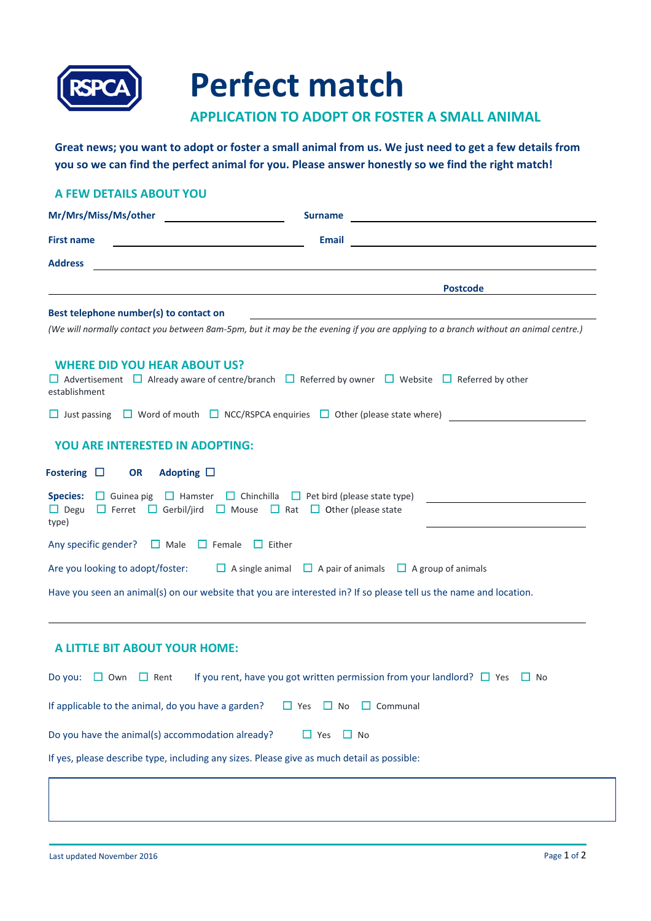

## **Perfect match**

## **APPLICATION TO ADOPT OR FOSTER A SMALL ANIMAL**

**Great news; you want to adopt or foster a small animal from us. We just need to get a few details from you so we can find the perfect animal for you. Please answer honestly so we find the right match!**

| A FEW DETAILS ABOUT YOU                                                                                                                                                                                            |                                                                                                                                     |
|--------------------------------------------------------------------------------------------------------------------------------------------------------------------------------------------------------------------|-------------------------------------------------------------------------------------------------------------------------------------|
| Mr/Mrs/Miss/Ms/other                                                                                                                                                                                               | <b>Surname</b>                                                                                                                      |
| <b>First name</b>                                                                                                                                                                                                  | <b>Email</b>                                                                                                                        |
| <b>Address</b>                                                                                                                                                                                                     |                                                                                                                                     |
|                                                                                                                                                                                                                    | <b>Postcode</b>                                                                                                                     |
| Best telephone number(s) to contact on                                                                                                                                                                             |                                                                                                                                     |
|                                                                                                                                                                                                                    | (We will normally contact you between 8am-5pm, but it may be the evening if you are applying to a branch without an animal centre.) |
| <b>WHERE DID YOU HEAR ABOUT US?</b><br>establishment                                                                                                                                                               | $\Box$ Advertisement $\Box$ Already aware of centre/branch $\Box$ Referred by owner $\Box$ Website $\Box$ Referred by other         |
|                                                                                                                                                                                                                    | □ Just passing □ Word of mouth □ NCC/RSPCA enquiries □ Other (please state where)                                                   |
| YOU ARE INTERESTED IN ADOPTING:                                                                                                                                                                                    |                                                                                                                                     |
| Adopting $\square$<br>Fostering $\Box$<br><b>OR</b>                                                                                                                                                                |                                                                                                                                     |
| <b>Species:</b> $\Box$ Guinea pig $\Box$ Hamster $\Box$ Chinchilla $\Box$ Pet bird (please state type)<br>$\Box$ Degu $\Box$ Ferret $\Box$ Gerbil/jird $\Box$ Mouse $\Box$ Rat $\Box$ Other (please state<br>type) |                                                                                                                                     |
| Any specific gender?<br>$\Box$ Male<br>$\Box$ Female $\Box$ Either                                                                                                                                                 |                                                                                                                                     |
| Are you looking to adopt/foster:                                                                                                                                                                                   | $\Box$ A single animal $\Box$ A pair of animals $\Box$ A group of animals                                                           |
|                                                                                                                                                                                                                    | Have you seen an animal(s) on our website that you are interested in? If so please tell us the name and location.                   |
| A LITTLE BIT ABOUT YOUR HOME:                                                                                                                                                                                      |                                                                                                                                     |
| Do you: $\Box$ Own $\Box$ Rent                                                                                                                                                                                     | If you rent, have you got written permission from your landlord? $\square$ Yes $\square$ No                                         |
| If applicable to the animal, do you have a garden?                                                                                                                                                                 | $\Box$ Yes $\Box$ No<br>$\Box$ Communal                                                                                             |
| Do you have the animal(s) accommodation already?                                                                                                                                                                   | $\Box$ Yes<br>$\Box$ No                                                                                                             |

If yes, please describe type, including any sizes. Please give as much detail as possible: